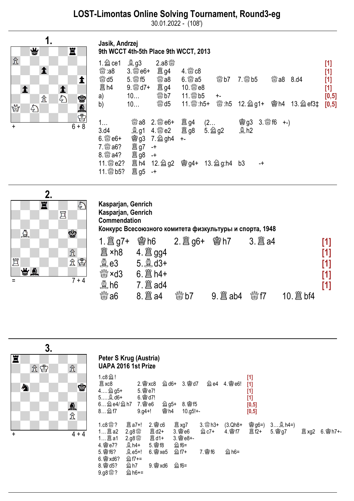## LOST-Limontas Online Solving Tournament, Round3-eg

30.01.2022 - (108')

Jasik, Andrzej



| 9th WCCT 4th-5th Place 9th WCCT, 2013                                                                  |                                                     |                                                                                  |                               |  |                                                    |                    |  |                              |      |                                                                                                                                                                                                                                                                                                                                                                                                                                                                            |
|--------------------------------------------------------------------------------------------------------|-----------------------------------------------------|----------------------------------------------------------------------------------|-------------------------------|--|----------------------------------------------------|--------------------|--|------------------------------|------|----------------------------------------------------------------------------------------------------------------------------------------------------------------------------------------------------------------------------------------------------------------------------------------------------------------------------------------------------------------------------------------------------------------------------------------------------------------------------|
| 1. $\triangleq$ ce1<br>$\mathbb{S}$ : a8<br>$\mathbb{S}^{\mathbb{N}\mathbb{S}}$ d5<br>闔 h4<br>a)<br>b) | <b>奧g3</b><br>$3.$ $\frac{800}{60}$ e6+<br>10<br>10 | $2.88\%$<br>置 g4<br>$\mathbb{S}$ a8<br>闔 g4<br>$\mathbb{S}^{M}$ b7<br><b>鬱d5</b> | $4.$ $\%$ $c8$<br>$6.$ @ $a5$ |  | $\stackrel{\text{\tiny{4M}}}{\otimes}$ b7<br>$+ -$ |                    |  | ₩ a8                         | 8.d4 | $[1] % \includegraphics[width=0.9\columnwidth]{figures/fig_10.pdf} \caption{The figure shows the number of times on the left and right.} \label{fig:2}$<br>$[1]$<br>$[1]$<br>$[1] % \includegraphics[width=0.9\columnwidth]{figures/fig_10.pdf} \caption{The figure shows the number of times on the right, and the number of times on the right, respectively. The left and right is the number of times on the right, respectively.} \label{fig:time}$<br>[0,5]<br>[0,5] |
| 1<br>3.d4<br>$6.$ \state e6+<br>7. ste a6?                                                             | 置g7                                                 | ▓a8 2. ▓ e6+<br><b>1</b> g1 4. 營 e2 <b>置</b> g8<br>窗g3 7. @ gh4<br>$-+$          | 闔 g4<br>$+ -$                 |  | (2<br>$5.$ $\hat{\otimes}$ g2                      | <b>魯g3</b><br>\$h2 |  | $3.$ $\frac{800}{60}$ f6 +-) |      |                                                                                                                                                                                                                                                                                                                                                                                                                                                                            |
| 8. & a4?<br>11. 5 e2?<br>11. <b>勤5?</b>                                                                | 置 g8<br>闔 h4<br>置 g5                                | $-+$<br>$-+$                                                                     |                               |  |                                                    | b3                 |  |                              |      |                                                                                                                                                                                                                                                                                                                                                                                                                                                                            |



| Kasparjan, Genrich<br>Kasparjan, Genrich<br>Commendation<br>Конкурс Всесоюзного комитета физкультуры и спорта, 1948 |                                                    |  |      |                           |   |                                 |  |  |  |  |
|---------------------------------------------------------------------------------------------------------------------|----------------------------------------------------|--|------|---------------------------|---|---------------------------------|--|--|--|--|
| 闔 ×h8<br><b>奠 e3</b><br>$\frac{100}{100}$ × d3<br>$\frac{30}{22}$ h6                                                | 曾h6<br>4. $\mathbb{B}$ gg4<br>$6.$ $\hat{\Xi}$ h4+ |  | 嚠h7  | 3. $\ddot{\mathbf{a}}$ a4 |   | [1]<br>[1]<br>[1]<br>[1]<br>[1] |  |  |  |  |
| $\stackrel{60}{\otimes} 36$                                                                                         |                                                    |  | 9. 箘 | $\mathbb{R}^n$ f7         | 箘 |                                 |  |  |  |  |